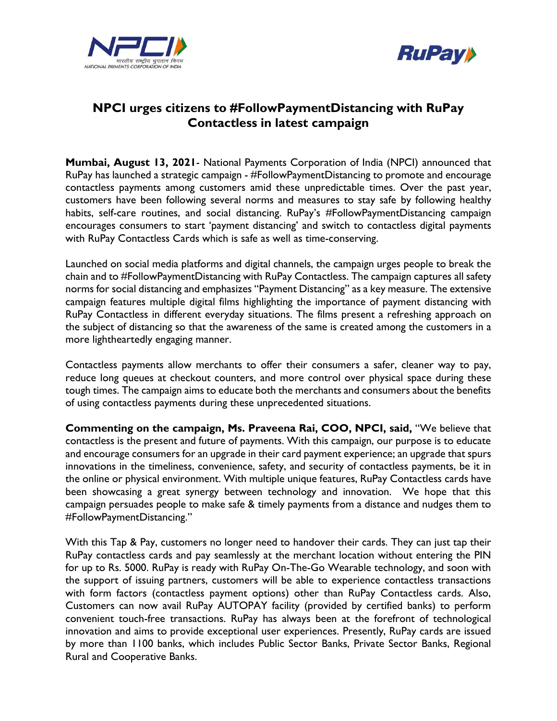



## **NPCI urges citizens to #FollowPaymentDistancing with RuPay Contactless in latest campaign**

**Mumbai, August 13, 2021**- National Payments Corporation of India (NPCI) announced that RuPay has launched a strategic campaign - #FollowPaymentDistancing to promote and encourage contactless payments among customers amid these unpredictable times. Over the past year, customers have been following several norms and measures to stay safe by following healthy habits, self-care routines, and social distancing. RuPay's #FollowPaymentDistancing campaign encourages consumers to start 'payment distancing' and switch to contactless digital payments with RuPay Contactless Cards which is safe as well as time-conserving.

Launched on social media platforms and digital channels, the campaign urges people to break the chain and to #FollowPaymentDistancing with RuPay Contactless. The campaign captures all safety norms for social distancing and emphasizes "Payment Distancing" as a key measure. The extensive campaign features multiple digital films highlighting the importance of payment distancing with RuPay Contactless in different everyday situations. The films present a refreshing approach on the subject of distancing so that the awareness of the same is created among the customers in a more lightheartedly engaging manner.

Contactless payments allow merchants to offer their consumers a safer, cleaner way to pay, reduce long queues at checkout counters, and more control over physical space during these tough times. The campaign aims to educate both the merchants and consumers about the benefits of using contactless payments during these unprecedented situations.

**Commenting on the campaign, Ms. Praveena Rai, COO, NPCI, said,** "We believe that contactless is the present and future of payments. With this campaign, our purpose is to educate and encourage consumers for an upgrade in their card payment experience; an upgrade that spurs innovations in the timeliness, convenience, safety, and security of contactless payments, be it in the online or physical environment. With multiple unique features, RuPay Contactless cards have been showcasing a great synergy between technology and innovation. We hope that this campaign persuades people to make safe & timely payments from a distance and nudges them to #FollowPaymentDistancing."

With this Tap & Pay, customers no longer need to handover their cards. They can just tap their RuPay contactless cards and pay seamlessly at the merchant location without entering the PIN for up to Rs. 5000. RuPay is ready with RuPay On-The-Go Wearable technology, and soon with the support of issuing partners, customers will be able to experience contactless transactions with form factors (contactless payment options) other than RuPay Contactless cards. Also, Customers can now avail RuPay AUTOPAY facility (provided by certified banks) to perform convenient touch-free transactions. RuPay has always been at the forefront of technological innovation and aims to provide exceptional user experiences. Presently, RuPay cards are issued by more than 1100 banks, which includes Public Sector Banks, Private Sector Banks, Regional Rural and Cooperative Banks.